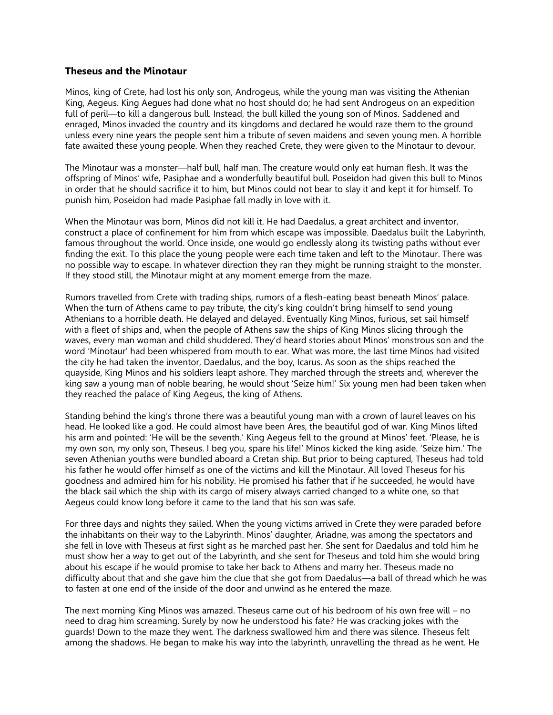## **Theseus and the Minotaur**

Minos, king of Crete, had lost his only son, Androgeus, while the young man was visiting the Athenian King, Aegeus. King Aegues had done what no host should do; he had sent Androgeus on an expedition full of peril—to kill a dangerous bull. Instead, the bull killed the young son of Minos. Saddened and enraged, Minos invaded the country and its kingdoms and declared he would raze them to the ground unless every nine years the people sent him a tribute of seven maidens and seven young men. A horrible fate awaited these young people. When they reached Crete, they were given to the Minotaur to devour.

The Minotaur was a monster—half bull, half man. The creature would only eat human flesh. It was the offspring of Minos' wife, Pasiphae and a wonderfully beautiful bull. Poseidon had given this bull to Minos in order that he should sacrifice it to him, but Minos could not bear to slay it and kept it for himself. To punish him, Poseidon had made Pasiphae fall madly in love with it.

When the Minotaur was born, Minos did not kill it. He had Daedalus, a great architect and inventor, construct a place of confinement for him from which escape was impossible. Daedalus built the Labyrinth, famous throughout the world. Once inside, one would go endlessly along its twisting paths without ever finding the exit. To this place the young people were each time taken and left to the Minotaur. There was no possible way to escape. In whatever direction they ran they might be running straight to the monster. If they stood still, the Minotaur might at any moment emerge from the maze.

Rumors travelled from Crete with trading ships, rumors of a flesh-eating beast beneath Minos' palace. When the turn of Athens came to pay tribute, the city's king couldn't bring himself to send young Athenians to a horrible death. He delayed and delayed. Eventually King Minos, furious, set sail himself with a fleet of ships and, when the people of Athens saw the ships of King Minos slicing through the waves, every man woman and child shuddered. They'd heard stories about Minos' monstrous son and the word 'Minotaur' had been whispered from mouth to ear. What was more, the last time Minos had visited the city he had taken the inventor, Daedalus, and the boy, Icarus. As soon as the ships reached the quayside, King Minos and his soldiers leapt ashore. They marched through the streets and, wherever the king saw a young man of noble bearing, he would shout 'Seize him!' Six young men had been taken when they reached the palace of King Aegeus, the king of Athens.

Standing behind the king's throne there was a beautiful young man with a crown of laurel leaves on his head. He looked like a god. He could almost have been Ares, the beautiful god of war. King Minos lifted his arm and pointed: 'He will be the seventh.' King Aegeus fell to the ground at Minos' feet. 'Please, he is my own son, my only son, Theseus. I beg you, spare his life!' Minos kicked the king aside. 'Seize him.' The seven Athenian youths were bundled aboard a Cretan ship. But prior to being captured, Theseus had told his father he would offer himself as one of the victims and kill the Minotaur. All loved Theseus for his goodness and admired him for his nobility. He promised his father that if he succeeded, he would have the black sail which the ship with its cargo of misery always carried changed to a white one, so that Aegeus could know long before it came to the land that his son was safe.

For three days and nights they sailed. When the young victims arrived in Crete they were paraded before the inhabitants on their way to the Labyrinth. Minos' daughter, Ariadne, was among the spectators and she fell in love with Theseus at first sight as he marched past her. She sent for Daedalus and told him he must show her a way to get out of the Labyrinth, and she sent for Theseus and told him she would bring about his escape if he would promise to take her back to Athens and marry her. Theseus made no difficulty about that and she gave him the clue that she got from Daedalus—a ball of thread which he was to fasten at one end of the inside of the door and unwind as he entered the maze.

The next morning King Minos was amazed. Theseus came out of his bedroom of his own free will – no need to drag him screaming. Surely by now he understood his fate? He was cracking jokes with the guards! Down to the maze they went. The darkness swallowed him and there was silence. Theseus felt among the shadows. He began to make his way into the labyrinth, unravelling the thread as he went. He